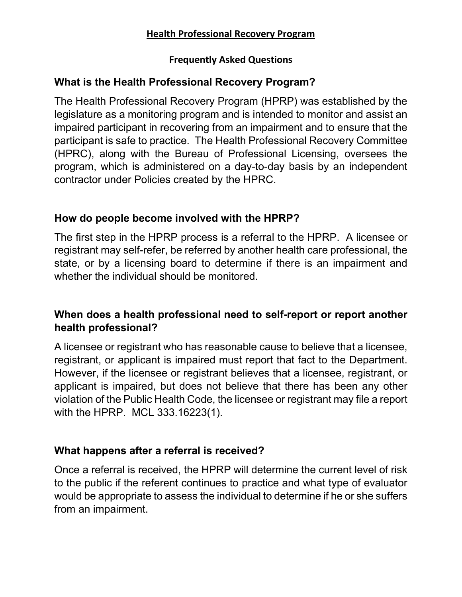#### **Health Professional Recovery Program**

#### **Frequently Asked Questions**

## **What is the Health Professional Recovery Program?**

The Health Professional Recovery Program (HPRP) was established by the legislature as a monitoring program and is intended to monitor and assist an impaired participant in recovering from an impairment and to ensure that the participant is safe to practice. The Health Professional Recovery Committee (HPRC), along with the Bureau of Professional Licensing, oversees the program, which is administered on a day-to-day basis by an independent contractor under Policies created by the HPRC.

#### **How do people become involved with the HPRP?**

The first step in the HPRP process is a referral to the HPRP. A licensee or registrant may self-refer, be referred by another health care professional, the state, or by a licensing board to determine if there is an impairment and whether the individual should be monitored.

## **When does a health professional need to self-report or report another health professional?**

A licensee or registrant who has reasonable cause to believe that a licensee, registrant, or applicant is impaired must report that fact to the Department. However, if the licensee or registrant believes that a licensee, registrant, or applicant is impaired, but does not believe that there has been any other violation of the Public Health Code, the licensee or registrant may file a report with the HPRP. MCL 333.16223(1).

## **What happens after a referral is received?**

Once a referral is received, the HPRP will determine the current level of risk to the public if the referent continues to practice and what type of evaluator would be appropriate to assess the individual to determine if he or she suffers from an impairment.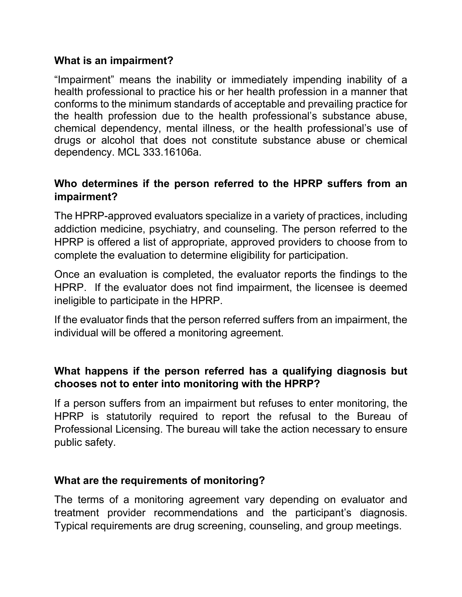#### **What is an impairment?**

"Impairment" means the inability or immediately impending inability of a health professional to practice his or her health profession in a manner that conforms to the minimum standards of acceptable and prevailing practice for the health profession due to the health professional's substance abuse, chemical dependency, mental illness, or the health professional's use of drugs or alcohol that does not constitute substance abuse or chemical dependency. MCL 333.16106a.

## **Who determines if the person referred to the HPRP suffers from an impairment?**

The HPRP-approved evaluators specialize in a variety of practices, including addiction medicine, psychiatry, and counseling. The person referred to the HPRP is offered a list of appropriate, approved providers to choose from to complete the evaluation to determine eligibility for participation.

Once an evaluation is completed, the evaluator reports the findings to the HPRP. If the evaluator does not find impairment, the licensee is deemed ineligible to participate in the HPRP.

If the evaluator finds that the person referred suffers from an impairment, the individual will be offered a monitoring agreement.

### **What happens if the person referred has a qualifying diagnosis but chooses not to enter into monitoring with the HPRP?**

If a person suffers from an impairment but refuses to enter monitoring, the HPRP is statutorily required to report the refusal to the Bureau of Professional Licensing. The bureau will take the action necessary to ensure public safety.

#### **What are the requirements of monitoring?**

The terms of a monitoring agreement vary depending on evaluator and treatment provider recommendations and the participant's diagnosis. Typical requirements are drug screening, counseling, and group meetings.